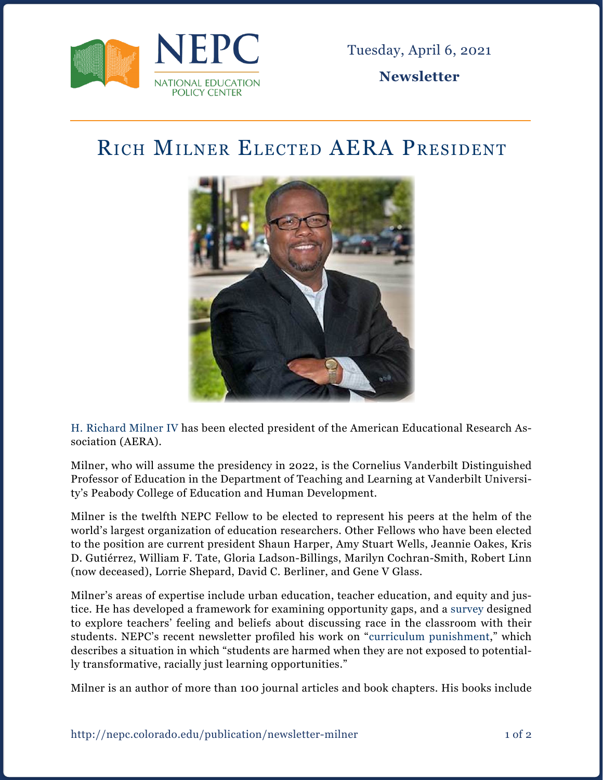

Tuesday, April 6, 2021

**Newsletter**

## Rich Milner Elected AERA President



[H. Richard Milner IV](https://nepc.colorado.edu/author/milner-rich) has been elected president of the American Educational Research Association (AERA).

Milner, who will assume the presidency in 2022, is the Cornelius Vanderbilt Distinguished Professor of Education in the Department of Teaching and Learning at Vanderbilt University's Peabody College of Education and Human Development.

Milner is the twelfth NEPC Fellow to be elected to represent his peers at the helm of the world's largest organization of education researchers. Other Fellows who have been elected to the position are current president Shaun Harper, Amy Stuart Wells, Jeannie Oakes, Kris D. Gutiérrez, William F. Tate, Gloria Ladson-Billings, Marilyn Cochran-Smith, Robert Linn (now deceased), Lorrie Shepard, David C. Berliner, and Gene V Glass.

Milner's areas of expertise include urban education, teacher education, and equity and justice. He has developed a framework for examining opportunity gaps, and a [survey](https://app.education.pitt.edu/Newsletter/PittEd/article?id=129#.YGRrUehKg2w) designed to explore teachers' feeling and beliefs about discussing race in the classroom with their students. NEPC's recent newsletter profiled his work on "[curriculum punishment,](https://nepc.colorado.edu/sites/default/files/publications/Newsletter%20curriculum%20punishment_0.pdf)" which describes a situation in which "students are harmed when they are not exposed to potentially transformative, racially just learning opportunities."

Milner is an author of more than 100 journal articles and book chapters. His books include